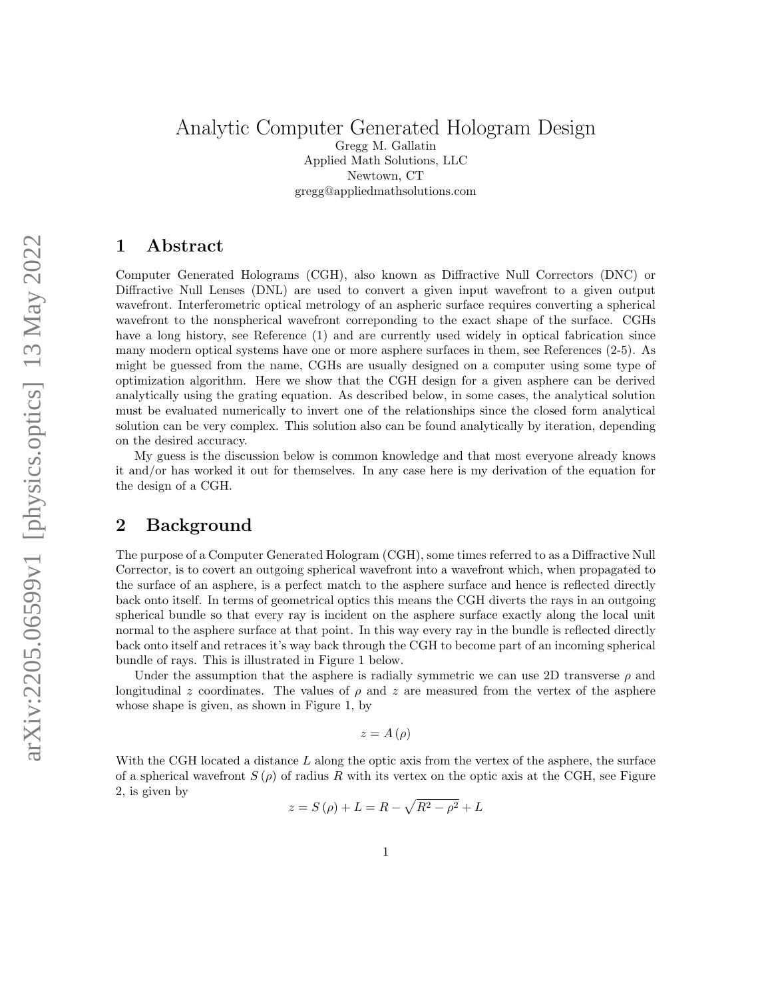#### Analytic Computer Generated Hologram Design Gregg M. Gallatin Applied Math Solutions, LLC Newtown, CT gregg@appliedmathsolutions.com

## 1 Abstract

Computer Generated Holograms (CGH), also known as Diffractive Null Correctors (DNC) or Diffractive Null Lenses (DNL) are used to convert a given input wavefront to a given output wavefront. Interferometric optical metrology of an aspheric surface requires converting a spherical wavefront to the nonspherical wavefront correponding to the exact shape of the surface. CGHs have a long history, see Reference (1) and are currently used widely in optical fabrication since many modern optical systems have one or more asphere surfaces in them, see References (2-5). As might be guessed from the name, CGHs are usually designed on a computer using some type of optimization algorithm. Here we show that the CGH design for a given asphere can be derived analytically using the grating equation. As described below, in some cases, the analytical solution must be evaluated numerically to invert one of the relationships since the closed form analytical solution can be very complex. This solution also can be found analytically by iteration, depending on the desired accuracy.

My guess is the discussion below is common knowledge and that most everyone already knows it and/or has worked it out for themselves. In any case here is my derivation of the equation for the design of a CGH.

# 2 Background

The purpose of a Computer Generated Hologram (CGH), some times referred to as a Diffractive Null Corrector, is to covert an outgoing spherical wavefront into a wavefront which, when propagated to the surface of an asphere, is a perfect match to the asphere surface and hence is reflected directly back onto itself. In terms of geometrical optics this means the CGH diverts the rays in an outgoing spherical bundle so that every ray is incident on the asphere surface exactly along the local unit normal to the asphere surface at that point. In this way every ray in the bundle is reflected directly back onto itself and retraces it's way back through the CGH to become part of an incoming spherical bundle of rays. This is illustrated in Figure 1 below.

Under the assumption that the asphere is radially symmetric we can use 2D transverse  $\rho$  and longitudinal z coordinates. The values of  $\rho$  and z are measured from the vertex of the asphere whose shape is given, as shown in Figure 1, by

$$
z = A(\rho)
$$

With the CGH located a distance  $L$  along the optic axis from the vertex of the asphere, the surface of a spherical wavefront  $S(\rho)$  of radius R with its vertex on the optic axis at the CGH, see Figure 2, is given by

$$
z = S(\rho) + L = R - \sqrt{R^2 - \rho^2} + L
$$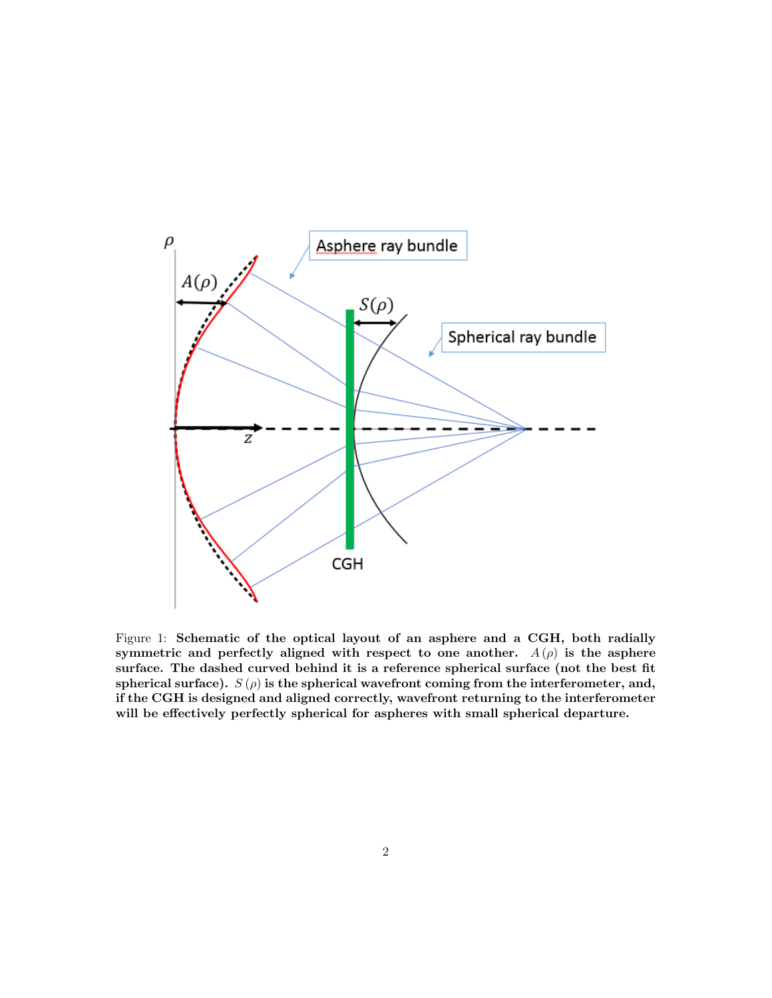

Figure 1: Schematic of the optical layout of an asphere and a CGH, both radially symmetric and perfectly aligned with respect to one another.  $A(\rho)$  is the asphere surface. The dashed curved behind it is a reference spherical surface (not the best fit spherical surface).  $S(\rho)$  is the spherical wavefront coming from the interferometer, and, if the CGH is designed and aligned correctly, wavefront returning to the interferometer will be effectively perfectly spherical for aspheres with small spherical departure.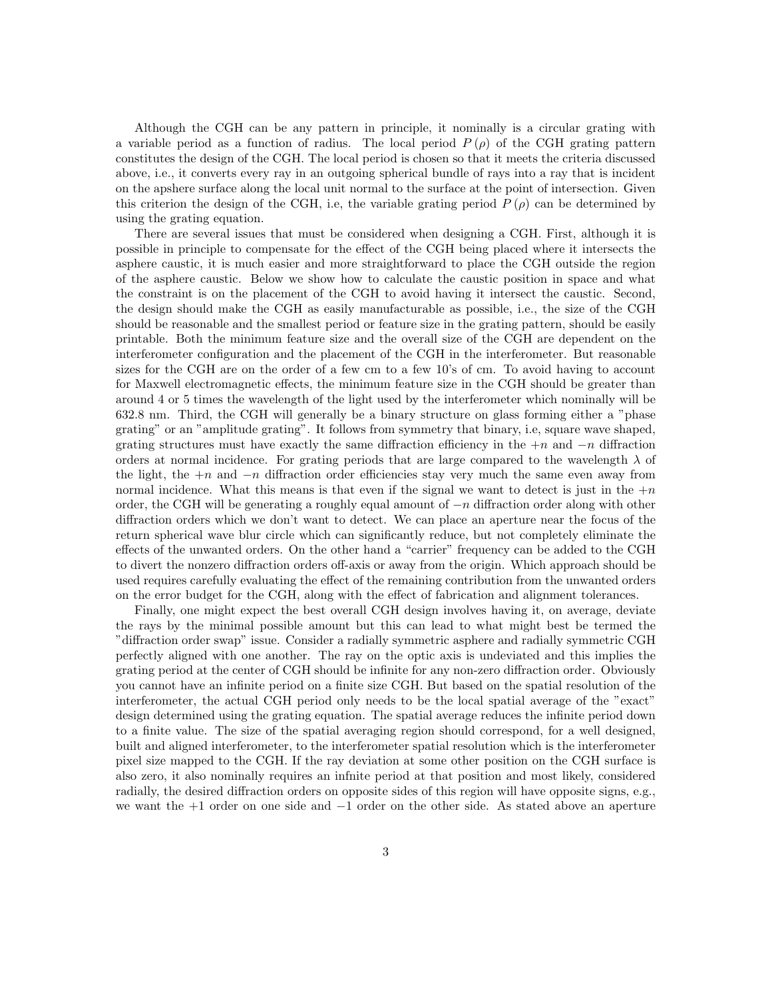Although the CGH can be any pattern in principle, it nominally is a circular grating with a variable period as a function of radius. The local period  $P(\rho)$  of the CGH grating pattern constitutes the design of the CGH. The local period is chosen so that it meets the criteria discussed above, i.e., it converts every ray in an outgoing spherical bundle of rays into a ray that is incident on the apshere surface along the local unit normal to the surface at the point of intersection. Given this criterion the design of the CGH, i.e, the variable grating period  $P(\rho)$  can be determined by using the grating equation.

There are several issues that must be considered when designing a CGH. First, although it is possible in principle to compensate for the effect of the CGH being placed where it intersects the asphere caustic, it is much easier and more straightforward to place the CGH outside the region of the asphere caustic. Below we show how to calculate the caustic position in space and what the constraint is on the placement of the CGH to avoid having it intersect the caustic. Second, the design should make the CGH as easily manufacturable as possible, i.e., the size of the CGH should be reasonable and the smallest period or feature size in the grating pattern, should be easily printable. Both the minimum feature size and the overall size of the CGH are dependent on the interferometer configuration and the placement of the CGH in the interferometer. But reasonable sizes for the CGH are on the order of a few cm to a few 10's of cm. To avoid having to account for Maxwell electromagnetic effects, the minimum feature size in the CGH should be greater than around 4 or 5 times the wavelength of the light used by the interferometer which nominally will be 632.8 nm. Third, the CGH will generally be a binary structure on glass forming either a "phase grating" or an "amplitude grating". It follows from symmetry that binary, i.e, square wave shaped, grating structures must have exactly the same diffraction efficiency in the  $+n$  and  $-n$  diffraction orders at normal incidence. For grating periods that are large compared to the wavelength  $\lambda$  of the light, the  $+n$  and  $-n$  diffraction order efficiencies stay very much the same even away from normal incidence. What this means is that even if the signal we want to detect is just in the  $+n$ order, the CGH will be generating a roughly equal amount of  $-n$  diffraction order along with other diffraction orders which we don't want to detect. We can place an aperture near the focus of the return spherical wave blur circle which can significantly reduce, but not completely eliminate the effects of the unwanted orders. On the other hand a "carrier" frequency can be added to the CGH to divert the nonzero diffraction orders off-axis or away from the origin. Which approach should be used requires carefully evaluating the effect of the remaining contribution from the unwanted orders on the error budget for the CGH, along with the effect of fabrication and alignment tolerances.

Finally, one might expect the best overall CGH design involves having it, on average, deviate the rays by the minimal possible amount but this can lead to what might best be termed the "diffraction order swap" issue. Consider a radially symmetric asphere and radially symmetric CGH perfectly aligned with one another. The ray on the optic axis is undeviated and this implies the grating period at the center of CGH should be infinite for any non-zero diffraction order. Obviously you cannot have an infinite period on a finite size CGH. But based on the spatial resolution of the interferometer, the actual CGH period only needs to be the local spatial average of the "exact" design determined using the grating equation. The spatial average reduces the infinite period down to a finite value. The size of the spatial averaging region should correspond, for a well designed, built and aligned interferometer, to the interferometer spatial resolution which is the interferometer pixel size mapped to the CGH. If the ray deviation at some other position on the CGH surface is also zero, it also nominally requires an infnite period at that position and most likely, considered radially, the desired diffraction orders on opposite sides of this region will have opposite signs, e.g., we want the +1 order on one side and −1 order on the other side. As stated above an aperture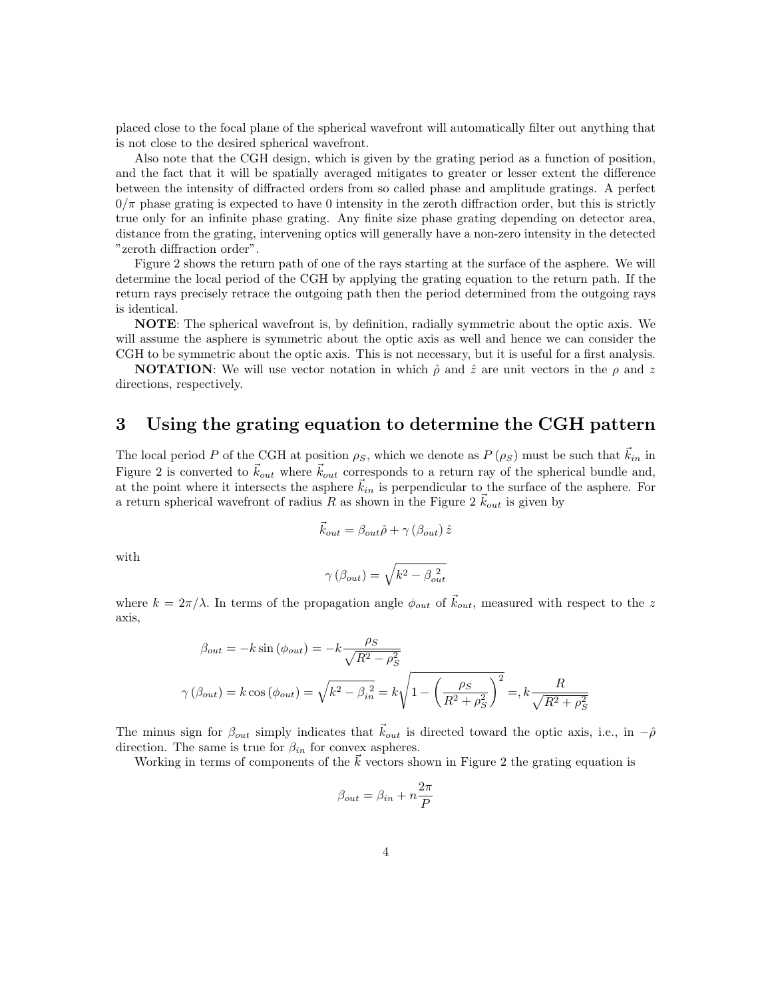placed close to the focal plane of the spherical wavefront will automatically filter out anything that is not close to the desired spherical wavefront.

Also note that the CGH design, which is given by the grating period as a function of position, and the fact that it will be spatially averaged mitigates to greater or lesser extent the difference between the intensity of diffracted orders from so called phase and amplitude gratings. A perfect  $0/\pi$  phase grating is expected to have 0 intensity in the zeroth diffraction order, but this is strictly true only for an infinite phase grating. Any finite size phase grating depending on detector area, distance from the grating, intervening optics will generally have a non-zero intensity in the detected "zeroth diffraction order".

Figure 2 shows the return path of one of the rays starting at the surface of the asphere. We will determine the local period of the CGH by applying the grating equation to the return path. If the return rays precisely retrace the outgoing path then the period determined from the outgoing rays is identical.

NOTE: The spherical wavefront is, by definition, radially symmetric about the optic axis. We will assume the asphere is symmetric about the optic axis as well and hence we can consider the CGH to be symmetric about the optic axis. This is not necessary, but it is useful for a first analysis.

**NOTATION:** We will use vector notation in which  $\hat{\rho}$  and  $\hat{z}$  are unit vectors in the  $\rho$  and z directions, respectively.

# 3 Using the grating equation to determine the CGH pattern

The local period P of the CGH at position  $\rho_s$ , which we denote as  $P(\rho_s)$  must be such that  $k_{in}$  in Figure 2 is converted to  $\vec{k}_{out}$  where  $\vec{k}_{out}$  corresponds to a return ray of the spherical bundle and, at the point where it intersects the asphere  $\vec{k}_{in}$  is perpendicular to the surface of the asphere. For a return spherical wavefront of radius R as shown in the Figure 2  $k_{out}$  is given by

$$
\vec{k}_{out} = \beta_{out} \hat{\rho} + \gamma \left(\beta_{out}\right) \hat{z}
$$

with

$$
\gamma\left(\beta_{out}\right) = \sqrt{k^2 - \beta_{out}^2}
$$

where  $k = 2\pi/\lambda$ . In terms of the propagation angle  $\phi_{out}$  of  $\vec{k}_{out}$ , measured with respect to the z axis,

$$
\beta_{out} = -k \sin (\phi_{out}) = -k \frac{\rho_S}{\sqrt{R^2 - \rho_S^2}}
$$

$$
\gamma(\beta_{out}) = k \cos (\phi_{out}) = \sqrt{k^2 - \beta_{in}^2} = k \sqrt{1 - \left(\frac{\rho_S}{R^2 + \rho_S^2}\right)^2} = k \frac{R}{\sqrt{R^2 + \rho_S^2}}
$$

The minus sign for  $\beta_{out}$  simply indicates that  $k_{out}$  is directed toward the optic axis, i.e., in  $-\hat{\rho}$ direction. The same is true for  $\beta_{in}$  for convex aspheres.

Working in terms of components of the  $\vec{k}$  vectors shown in Figure 2 the grating equation is

$$
\beta_{out} = \beta_{in} + n\frac{2\pi}{P}
$$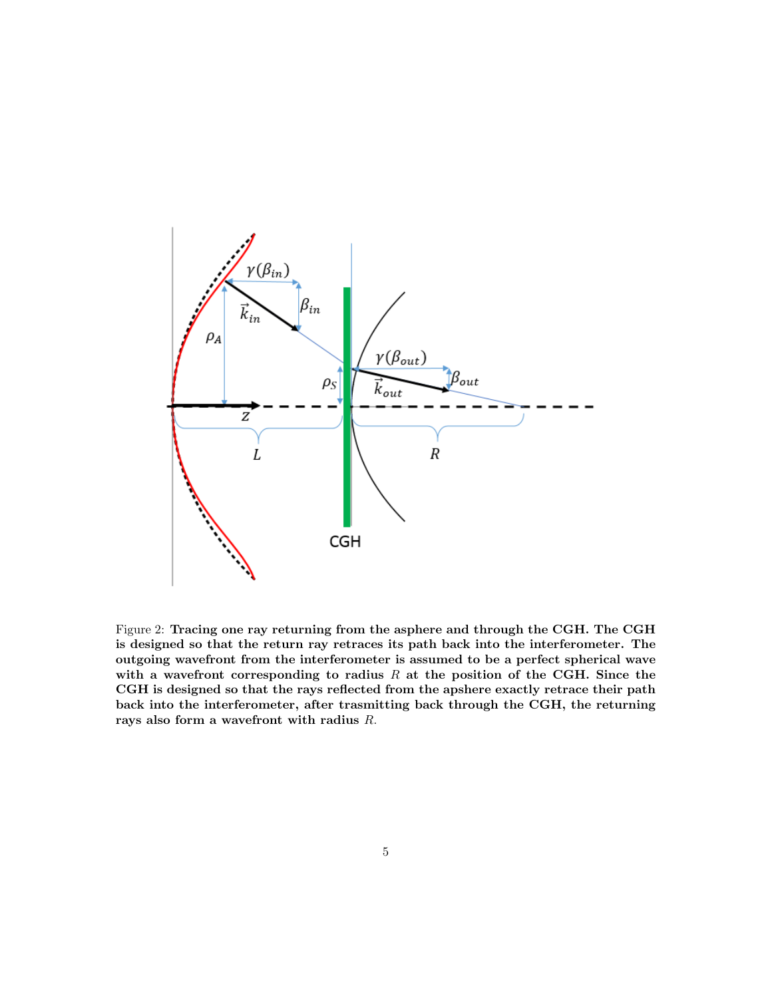

Figure 2: Tracing one ray returning from the asphere and through the CGH. The CGH is designed so that the return ray retraces its path back into the interferometer. The outgoing wavefront from the interferometer is assumed to be a perfect spherical wave with a wavefront corresponding to radius  $R$  at the position of the CGH. Since the CGH is designed so that the rays reflected from the apshere exactly retrace their path back into the interferometer, after trasmitting back through the CGH, the returning rays also form a wavefront with radius R.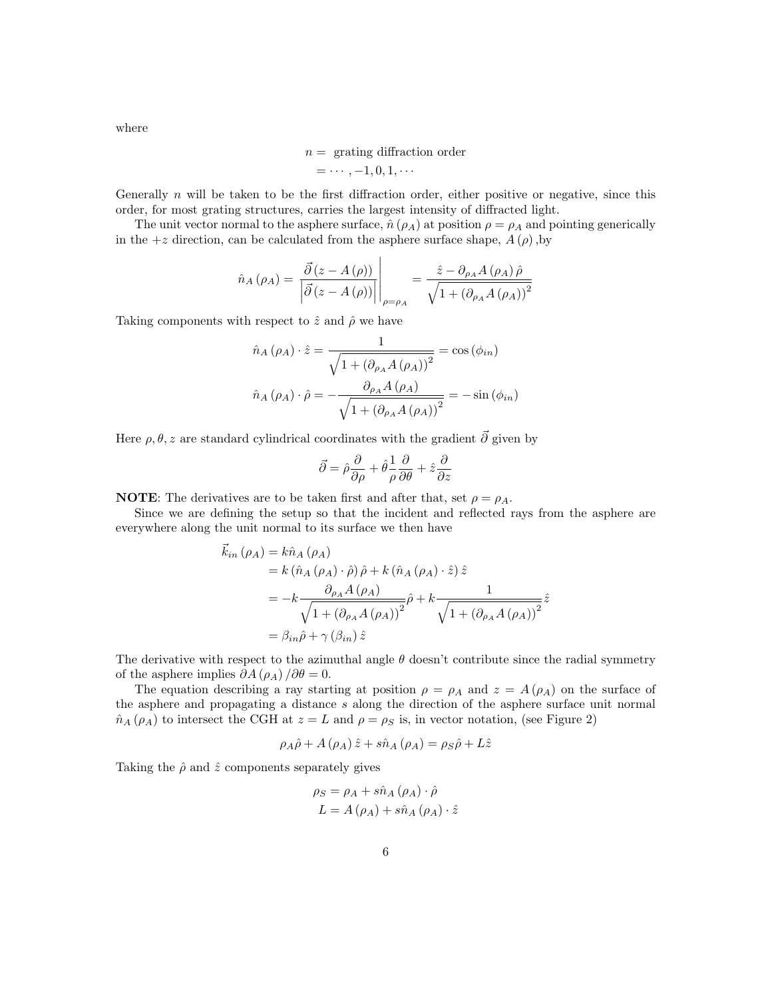where

$$
n = \text{ grating diffraction order}
$$

$$
= \cdots, -1, 0, 1, \cdots
$$

Generally  $n$  will be taken to be the first diffraction order, either positive or negative, since this order, for most grating structures, carries the largest intensity of diffracted light.

The unit vector normal to the asphere surface,  $\hat{n}(\rho_A)$  at position  $\rho = \rho_A$  and pointing generically in the  $+z$  direction, can be calculated from the asphere surface shape,  $A(\rho)$ , by

$$
\hat{n}_A(\rho_A) = \left. \frac{\vec{\partial} (z - A(\rho))}{\left| \vec{\partial} (z - A(\rho)) \right|} \right|_{\rho = \rho_A} = \frac{\hat{z} - \partial_{\rho_A} A(\rho_A) \hat{\rho}}{\sqrt{1 + \left( \partial_{\rho_A} A(\rho_A) \right)^2}}
$$

Taking components with respect to  $\hat{z}$  and  $\hat{\rho}$  we have

$$
\hat{n}_A(\rho_A) \cdot \hat{z} = \frac{1}{\sqrt{1 + (\partial_{\rho_A} A(\rho_A))^2}} = \cos(\phi_{in})
$$

$$
\hat{n}_A(\rho_A) \cdot \hat{\rho} = -\frac{\partial_{\rho_A} A(\rho_A)}{\sqrt{1 + (\partial_{\rho_A} A(\rho_A))^2}} = -\sin(\phi_{in})
$$

Here  $\rho, \theta, z$  are standard cylindrical coordinates with the gradient  $\vec{\theta}$  given by

$$
\vec{\partial} = \hat{\rho} \frac{\partial}{\partial \rho} + \hat{\theta} \frac{1}{\rho} \frac{\partial}{\partial \theta} + \hat{z} \frac{\partial}{\partial z}
$$

**NOTE:** The derivatives are to be taken first and after that, set  $\rho = \rho_A$ .

Since we are defining the setup so that the incident and reflected rays from the asphere are everywhere along the unit normal to its surface we then have

$$
\vec{k}_{in}(\rho_A) = k\hat{n}_A(\rho_A)
$$
\n
$$
= k(\hat{n}_A(\rho_A) \cdot \hat{\rho})\hat{\rho} + k(\hat{n}_A(\rho_A) \cdot \hat{z})\hat{z}
$$
\n
$$
= -k \frac{\partial_{\rho_A} A(\rho_A)}{\sqrt{1 + (\partial_{\rho_A} A(\rho_A))^2}}\hat{\rho} + k \frac{1}{\sqrt{1 + (\partial_{\rho_A} A(\rho_A))^2}}\hat{z}
$$
\n
$$
= \beta_{in}\hat{\rho} + \gamma(\beta_{in})\hat{z}
$$

The derivative with respect to the azimuthal angle  $\theta$  doesn't contribute since the radial symmetry of the asphere implies  $\partial A(\rho_A)/\partial \theta = 0$ .

The equation describing a ray starting at position  $\rho = \rho_A$  and  $z = A(\rho_A)$  on the surface of the asphere and propagating a distance s along the direction of the asphere surface unit normal  $\hat{n}_A(\rho_A)$  to intersect the CGH at  $z = L$  and  $\rho = \rho_S$  is, in vector notation, (see Figure 2)

$$
\rho_A \hat{\rho} + A(\rho_A) \hat{z} + s \hat{n}_A(\rho_A) = \rho_S \hat{\rho} + L \hat{z}
$$

Taking the  $\hat{\rho}$  and  $\hat{z}$  components separately gives

$$
\rho_S = \rho_A + s\hat{n}_A (\rho_A) \cdot \hat{\rho}
$$
  

$$
L = A (\rho_A) + s\hat{n}_A (\rho_A) \cdot \hat{z}
$$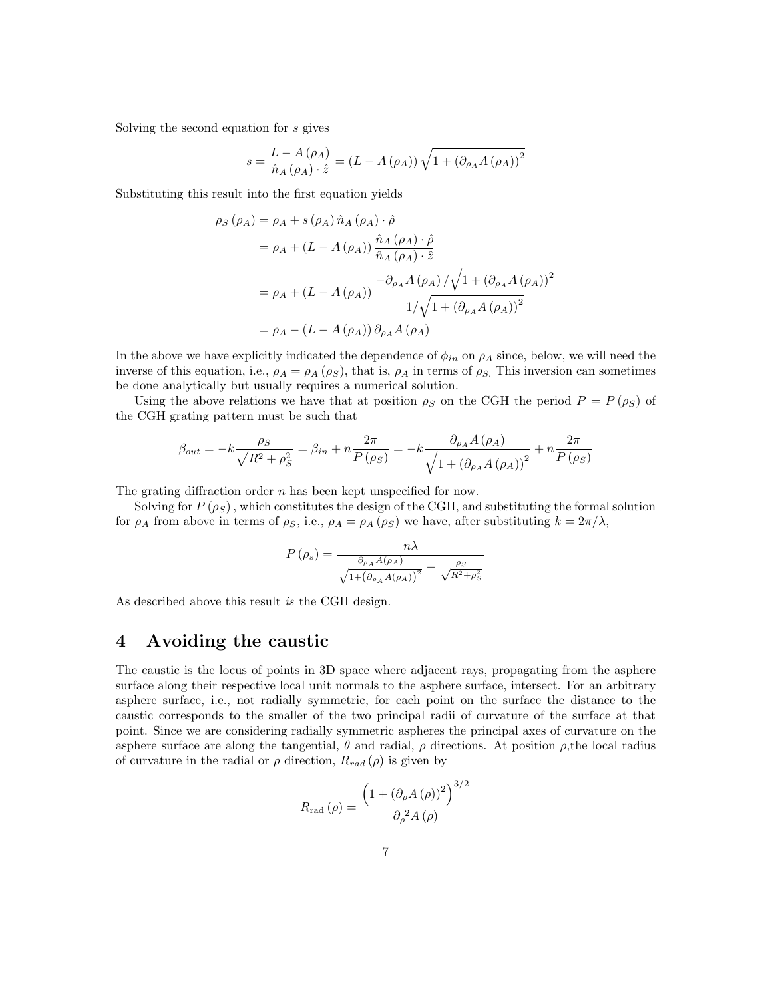Solving the second equation for s gives

$$
s = \frac{L - A(\rho_A)}{\hat{n}_A(\rho_A) \cdot \hat{z}} = (L - A(\rho_A)) \sqrt{1 + (\partial_{\rho_A} A(\rho_A))^2}
$$

Substituting this result into the first equation yields

$$
\rho_S(\rho_A) = \rho_A + s(\rho_A) \hat{n}_A(\rho_A) \cdot \hat{\rho}
$$
  
=  $\rho_A + (L - A(\rho_A)) \frac{\hat{n}_A(\rho_A) \cdot \hat{\rho}}{\hat{n}_A(\rho_A) \cdot \hat{z}}$   
=  $\rho_A + (L - A(\rho_A)) \frac{-\partial_{\rho_A} A(\rho_A) / \sqrt{1 + (\partial_{\rho_A} A(\rho_A))^2}}{1 / \sqrt{1 + (\partial_{\rho_A} A(\rho_A))^2}}$   
=  $\rho_A - (L - A(\rho_A)) \partial_{\rho_A} A(\rho_A)$ 

In the above we have explicitly indicated the dependence of  $\phi_{in}$  on  $\rho_A$  since, below, we will need the inverse of this equation, i.e.,  $\rho_A = \rho_A (\rho_S)$ , that is,  $\rho_A$  in terms of  $\rho_S$ . This inversion can sometimes be done analytically but usually requires a numerical solution.

Using the above relations we have that at position  $\rho_S$  on the CGH the period  $P = P(\rho_S)$  of the CGH grating pattern must be such that

$$
\beta_{out} = -k \frac{\rho_S}{\sqrt{R^2 + \rho_S^2}} = \beta_{in} + n \frac{2\pi}{P(\rho_S)} = -k \frac{\partial_{\rho_A} A(\rho_A)}{\sqrt{1 + (\partial_{\rho_A} A(\rho_A))^2}} + n \frac{2\pi}{P(\rho_S)}
$$

The grating diffraction order *n* has been kept unspecified for now.

Solving for  $P(\rho_S)$ , which constitutes the design of the CGH, and substituting the formal solution for  $\rho_A$  from above in terms of  $\rho_S$ , i.e.,  $\rho_A = \rho_A(\rho_S)$  we have, after substituting  $k = 2\pi/\lambda$ ,

$$
P(\rho_s) = \frac{n\lambda}{\frac{\partial_{\rho_A} A(\rho_A)}{\sqrt{1 + (\partial_{\rho_A} A(\rho_A))^2}} - \frac{\rho_S}{\sqrt{R^2 + \rho_S^2}}}
$$

As described above this result is the CGH design.

## 4 Avoiding the caustic

The caustic is the locus of points in 3D space where adjacent rays, propagating from the asphere surface along their respective local unit normals to the asphere surface, intersect. For an arbitrary asphere surface, i.e., not radially symmetric, for each point on the surface the distance to the caustic corresponds to the smaller of the two principal radii of curvature of the surface at that point. Since we are considering radially symmetric aspheres the principal axes of curvature on the asphere surface are along the tangential,  $\theta$  and radial,  $\rho$  directions. At position  $\rho$ , the local radius of curvature in the radial or  $\rho$  direction,  $R_{rad}(\rho)$  is given by

$$
R_{\rm rad}(\rho) = \frac{\left(1 + \left(\partial_{\rho} A\left(\rho\right)\right)^2\right)^{3/2}}{\partial_{\rho}^2 A\left(\rho\right)}
$$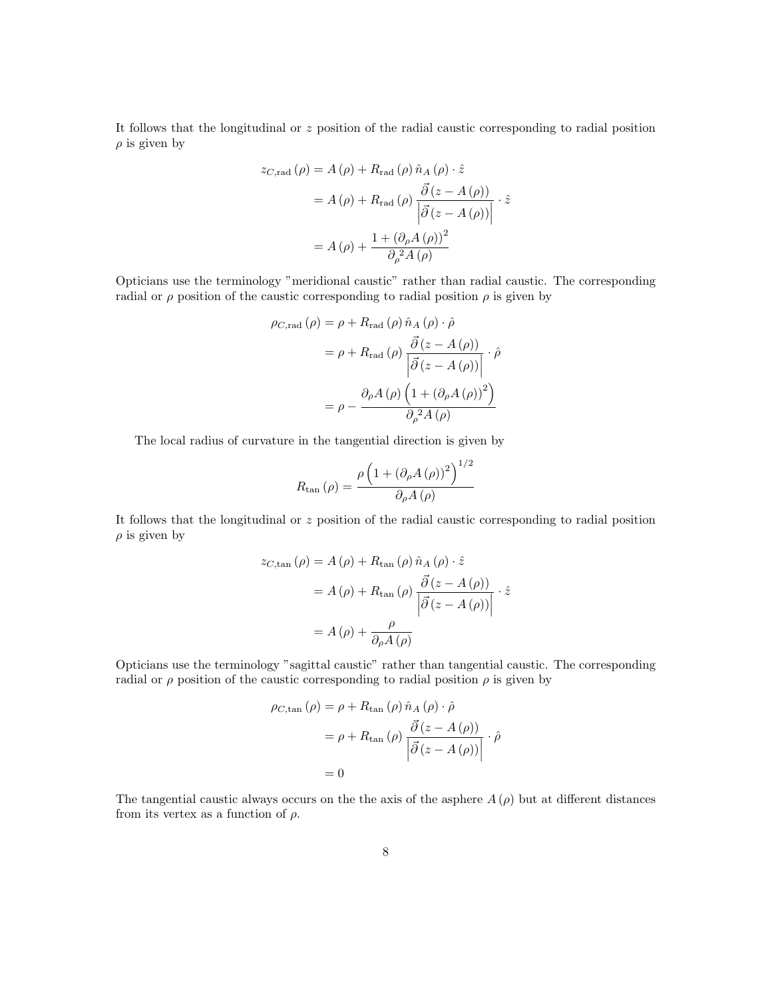It follows that the longitudinal or  $z$  position of the radial caustic corresponding to radial position  $\rho$  is given by

$$
z_{C, \text{rad}}(\rho) = A(\rho) + R_{\text{rad}}(\rho) \hat{n}_A(\rho) \cdot \hat{z}
$$

$$
= A(\rho) + R_{\text{rad}}(\rho) \frac{\vec{\partial}(z - A(\rho))}{|\vec{\partial}(z - A(\rho))|} \cdot \hat{z}
$$

$$
= A(\rho) + \frac{1 + (\partial_{\rho} A(\rho))^2}{\partial_{\rho}^2 A(\rho)}
$$

Opticians use the terminology "meridional caustic" rather than radial caustic. The corresponding radial or  $\rho$  position of the caustic corresponding to radial position  $\rho$  is given by

$$
\rho_{C, \text{rad}}(\rho) = \rho + R_{\text{rad}}(\rho) \hat{n}_A(\rho) \cdot \hat{\rho}
$$

$$
= \rho + R_{\text{rad}}(\rho) \frac{\vec{\partial}(z - A(\rho))}{|\vec{\partial}(z - A(\rho))|} \cdot \hat{\rho}
$$

$$
= \rho - \frac{\partial_{\rho} A(\rho) (1 + (\partial_{\rho} A(\rho))^2)}{\partial_{\rho}^2 A(\rho)}
$$

The local radius of curvature in the tangential direction is given by

$$
R_{\rm tan} (\rho) = \frac{\rho \left( 1 + \left( \partial_{\rho} A \left( \rho \right) \right)^2 \right)^{1/2}}{\partial_{\rho} A \left( \rho \right)}
$$

It follows that the longitudinal or  $z$  position of the radial caustic corresponding to radial position  $\rho$  is given by

$$
z_{C, \tan}(\rho) = A(\rho) + R_{\tan}(\rho) \hat{n}_A(\rho) \cdot \hat{z}
$$
  
=  $A(\rho) + R_{\tan}(\rho) \frac{\vec{\partial}(z - A(\rho))}{|\vec{\partial}(z - A(\rho))|} \cdot \hat{z}$   
=  $A(\rho) + \frac{\rho}{\partial_\rho A(\rho)}$ 

Opticians use the terminology "sagittal caustic" rather than tangential caustic. The corresponding radial or  $\rho$  position of the caustic corresponding to radial position  $\rho$  is given by

$$
\rho_{C,\tan}(\rho) = \rho + R_{\tan}(\rho) \hat{n}_A(\rho) \cdot \hat{\rho}
$$

$$
= \rho + R_{\tan}(\rho) \frac{\vec{\partial}(z - A(\rho))}{|\vec{\partial}(z - A(\rho))|} \cdot \hat{\rho}
$$

$$
= 0
$$

The tangential caustic always occurs on the the axis of the asphere  $A(\rho)$  but at different distances from its vertex as a function of  $\rho$ .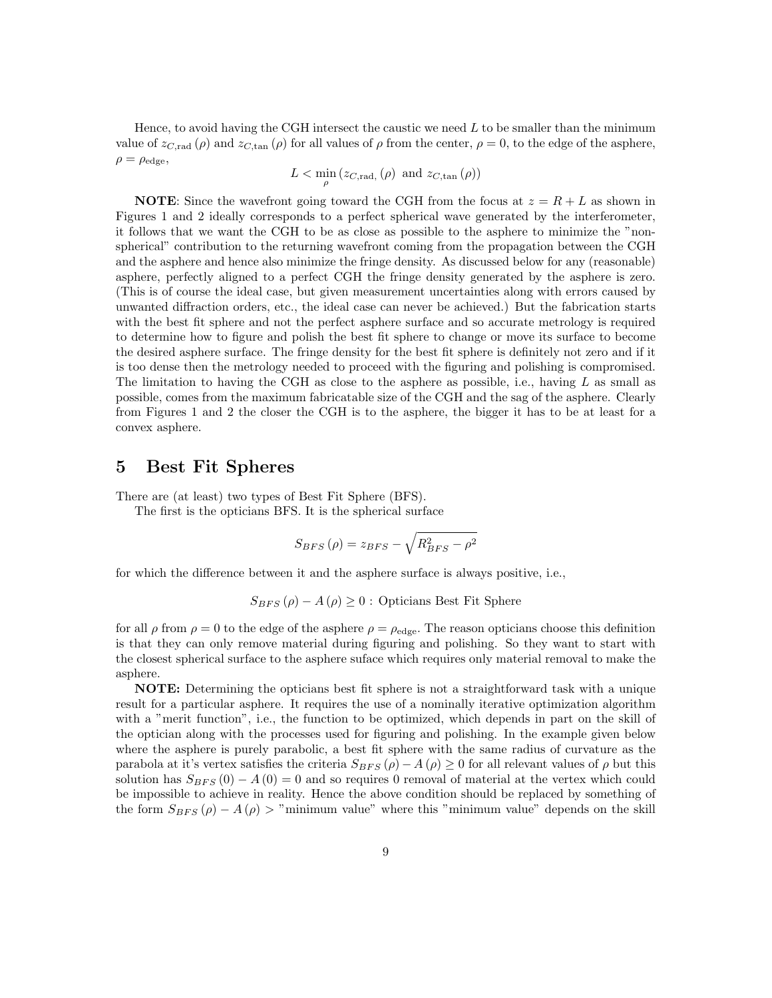Hence, to avoid having the CGH intersect the caustic we need  $L$  to be smaller than the minimum value of  $z_{C,\text{rad}}(\rho)$  and  $z_{C,\text{tan}}(\rho)$  for all values of  $\rho$  from the center,  $\rho = 0$ , to the edge of the asphere,  $\rho = \rho_{\text{edge}},$ 

 $L < \min_{\rho} (z_{C, \text{rad}, \rho})$  and  $z_{C, \text{tan}} (\rho)$ 

**NOTE:** Since the wavefront going toward the CGH from the focus at  $z = R + L$  as shown in Figures 1 and 2 ideally corresponds to a perfect spherical wave generated by the interferometer, it follows that we want the CGH to be as close as possible to the asphere to minimize the "nonspherical" contribution to the returning wavefront coming from the propagation between the CGH and the asphere and hence also minimize the fringe density. As discussed below for any (reasonable) asphere, perfectly aligned to a perfect CGH the fringe density generated by the asphere is zero. (This is of course the ideal case, but given measurement uncertainties along with errors caused by unwanted diffraction orders, etc., the ideal case can never be achieved.) But the fabrication starts with the best fit sphere and not the perfect asphere surface and so accurate metrology is required to determine how to figure and polish the best fit sphere to change or move its surface to become the desired asphere surface. The fringe density for the best fit sphere is definitely not zero and if it is too dense then the metrology needed to proceed with the figuring and polishing is compromised. The limitation to having the CGH as close to the asphere as possible, i.e., having  $L$  as small as possible, comes from the maximum fabricatable size of the CGH and the sag of the asphere. Clearly from Figures 1 and 2 the closer the CGH is to the asphere, the bigger it has to be at least for a convex asphere.

#### 5 Best Fit Spheres

There are (at least) two types of Best Fit Sphere (BFS).

The first is the opticians BFS. It is the spherical surface

$$
S_{BFS}(\rho) = z_{BFS} - \sqrt{R_{BFS}^2 - \rho^2}
$$

for which the difference between it and the asphere surface is always positive, i.e.,

 $S_{BFS}(\rho) - A(\rho) \geq 0$ : Opticians Best Fit Sphere

for all  $\rho$  from  $\rho = 0$  to the edge of the asphere  $\rho = \rho_{\text{edge}}$ . The reason opticians choose this definition is that they can only remove material during figuring and polishing. So they want to start with the closest spherical surface to the asphere suface which requires only material removal to make the asphere.

NOTE: Determining the opticians best fit sphere is not a straightforward task with a unique result for a particular asphere. It requires the use of a nominally iterative optimization algorithm with a "merit function", i.e., the function to be optimized, which depends in part on the skill of the optician along with the processes used for figuring and polishing. In the example given below where the asphere is purely parabolic, a best fit sphere with the same radius of curvature as the parabola at it's vertex satisfies the criteria  $S_{BFS}(\rho) - A(\rho) \geq 0$  for all relevant values of  $\rho$  but this solution has  $S_{BFS}(0) - A(0) = 0$  and so requires 0 removal of material at the vertex which could be impossible to achieve in reality. Hence the above condition should be replaced by something of the form  $S_{BFS}(\rho) - A(\rho) >$  "minimum value" where this "minimum value" depends on the skill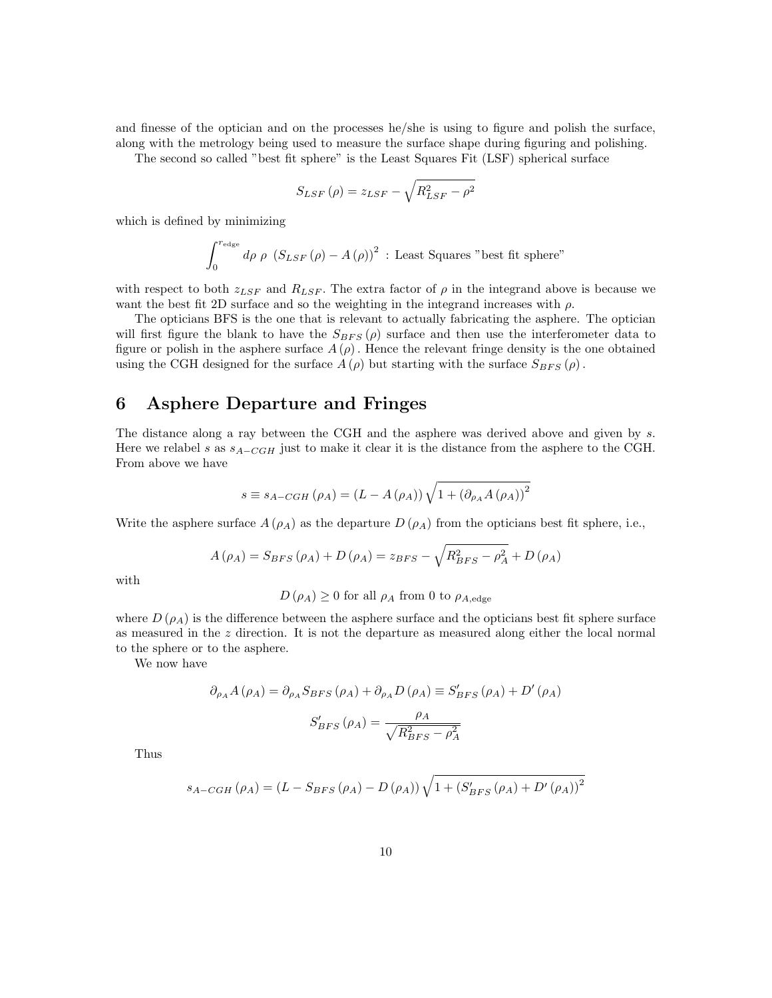and finesse of the optician and on the processes he/she is using to figure and polish the surface, along with the metrology being used to measure the surface shape during figuring and polishing.

The second so called "best fit sphere" is the Least Squares Fit (LSF) spherical surface

$$
S_{LSF}(\rho) = z_{LSF} - \sqrt{R_{LSF}^2 - \rho^2}
$$

which is defined by minimizing

$$
\int_0^{r_{\rm edge}} d\rho~\rho~\left(S_{LSF}\left(\rho\right)-A\left(\rho\right)\right)^2
$$
 : Least Squares "best fit sphere"

with respect to both  $z_{LSF}$  and  $R_{LSF}$ . The extra factor of  $\rho$  in the integrand above is because we want the best fit 2D surface and so the weighting in the integrand increases with  $\rho$ .

The opticians BFS is the one that is relevant to actually fabricating the asphere. The optician will first figure the blank to have the  $S_{BFS}(\rho)$  surface and then use the interferometer data to figure or polish in the asphere surface  $A(\rho)$ . Hence the relevant fringe density is the one obtained using the CGH designed for the surface  $A(\rho)$  but starting with the surface  $S_{BFS}(\rho)$ .

## 6 Asphere Departure and Fringes

The distance along a ray between the CGH and the asphere was derived above and given by s. Here we relabel s as  $s_{A-CGH}$  just to make it clear it is the distance from the asphere to the CGH. From above we have

$$
s \equiv s_{A-CGH} (\rho_A) = (L - A(\rho_A)) \sqrt{1 + (\partial_{\rho_A} A(\rho_A))^2}
$$

Write the asphere surface  $A(\rho_A)$  as the departure  $D(\rho_A)$  from the opticians best fit sphere, i.e.,

$$
A(\rho_A) = S_{BFS}(\rho_A) + D(\rho_A) = z_{BFS} - \sqrt{R_{BFS}^2 - \rho_A^2} + D(\rho_A)
$$

with

## $D(\rho_A) \geq 0$  for all  $\rho_A$  from 0 to  $\rho_{A,\text{edge}}$

where  $D(\rho_A)$  is the difference between the asphere surface and the opticians best fit sphere surface as measured in the z direction. It is not the departure as measured along either the local normal to the sphere or to the asphere.

We now have

$$
\partial_{\rho_A} A(\rho_A) = \partial_{\rho_A} S_{BFS} (\rho_A) + \partial_{\rho_A} D(\rho_A) \equiv S'_{BFS} (\rho_A) + D'(\rho_A)
$$

$$
S'_{BFS} (\rho_A) = \frac{\rho_A}{\sqrt{R_{BFS}^2 - \rho_A^2}}
$$

Thus

$$
s_{A-CGH}(\rho_A) = (L - S_{BFS}(\rho_A) - D(\rho_A)) \sqrt{1 + (S'_{BFS}(\rho_A) + D'(\rho_A))^2}
$$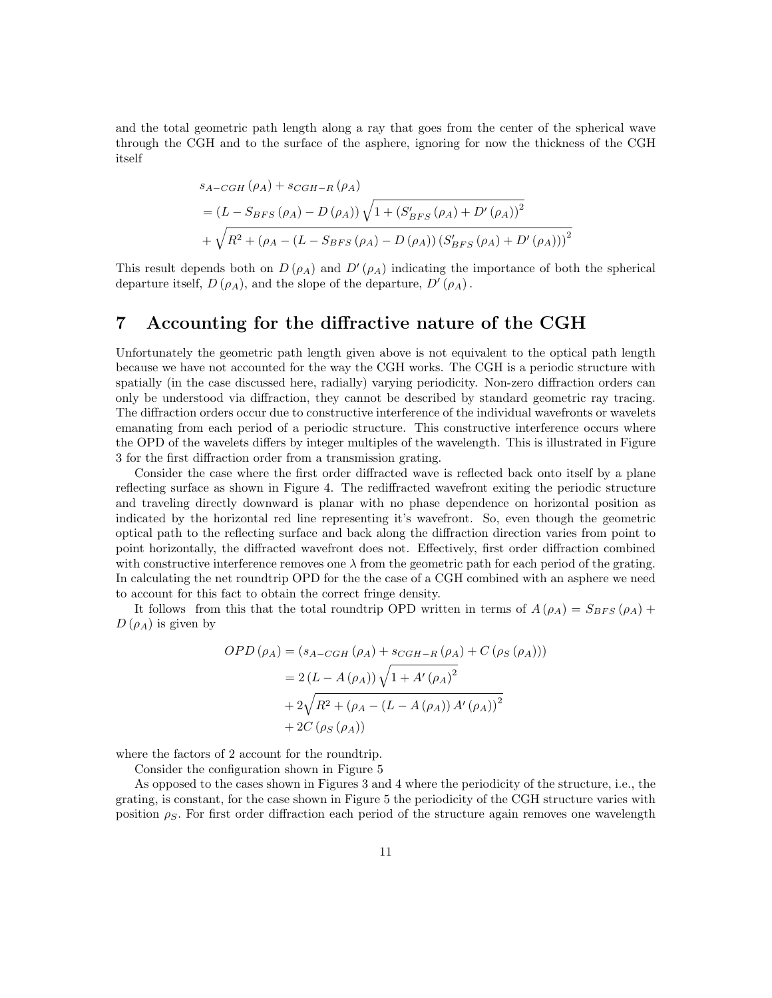and the total geometric path length along a ray that goes from the center of the spherical wave through the CGH and to the surface of the asphere, ignoring for now the thickness of the CGH itself

$$
s_{A-CGH}(\rho_A) + s_{CGH-R}(\rho_A)
$$
  
=  $(L - S_{BFS}(\rho_A) - D(\rho_A)) \sqrt{1 + (S'_{BFS}(\rho_A) + D'(\rho_A))^2}$   
+  $\sqrt{R^2 + (\rho_A - (L - S_{BFS}(\rho_A) - D(\rho_A)) (S'_{BFS}(\rho_A) + D'(\rho_A)))^2}$ 

This result depends both on  $D(\rho_A)$  and  $D'(\rho_A)$  indicating the importance of both the spherical departure itself,  $D(\rho_A)$ , and the slope of the departure,  $D'(\rho_A)$ .

#### 7 Accounting for the diffractive nature of the CGH

Unfortunately the geometric path length given above is not equivalent to the optical path length because we have not accounted for the way the CGH works. The CGH is a periodic structure with spatially (in the case discussed here, radially) varying periodicity. Non-zero diffraction orders can only be understood via diffraction, they cannot be described by standard geometric ray tracing. The diffraction orders occur due to constructive interference of the individual wavefronts or wavelets emanating from each period of a periodic structure. This constructive interference occurs where the OPD of the wavelets differs by integer multiples of the wavelength. This is illustrated in Figure 3 for the first diffraction order from a transmission grating.

Consider the case where the first order diffracted wave is reflected back onto itself by a plane reflecting surface as shown in Figure 4. The rediffracted wavefront exiting the periodic structure and traveling directly downward is planar with no phase dependence on horizontal position as indicated by the horizontal red line representing it's wavefront. So, even though the geometric optical path to the reflecting surface and back along the diffraction direction varies from point to point horizontally, the diffracted wavefront does not. Effectively, first order diffraction combined with constructive interference removes one  $\lambda$  from the geometric path for each period of the grating. In calculating the net roundtrip OPD for the the case of a CGH combined with an asphere we need to account for this fact to obtain the correct fringe density.

It follows from this that the total roundtrip OPD written in terms of  $A(\rho_A) = S_{BFS}(\rho_A) +$  $D(\rho_A)$  is given by

$$
OPD(\rho_A) = (s_{A-CGH}(\rho_A) + s_{CGH-R}(\rho_A) + C(\rho_S(\rho_A)))
$$
  
= 2 (L - A(\rho\_A)) \sqrt{1 + A'(\rho\_A)^2}  
+ 2\sqrt{R^2 + (\rho\_A - (L - A(\rho\_A)) A'(\rho\_A))^2}  
+ 2C(\rho\_S(\rho\_A))

where the factors of 2 account for the roundtrip.

Consider the configuration shown in Figure 5

As opposed to the cases shown in Figures 3 and 4 where the periodicity of the structure, i.e., the grating, is constant, for the case shown in Figure 5 the periodicity of the CGH structure varies with position  $\rho_S$ . For first order diffraction each period of the structure again removes one wavelength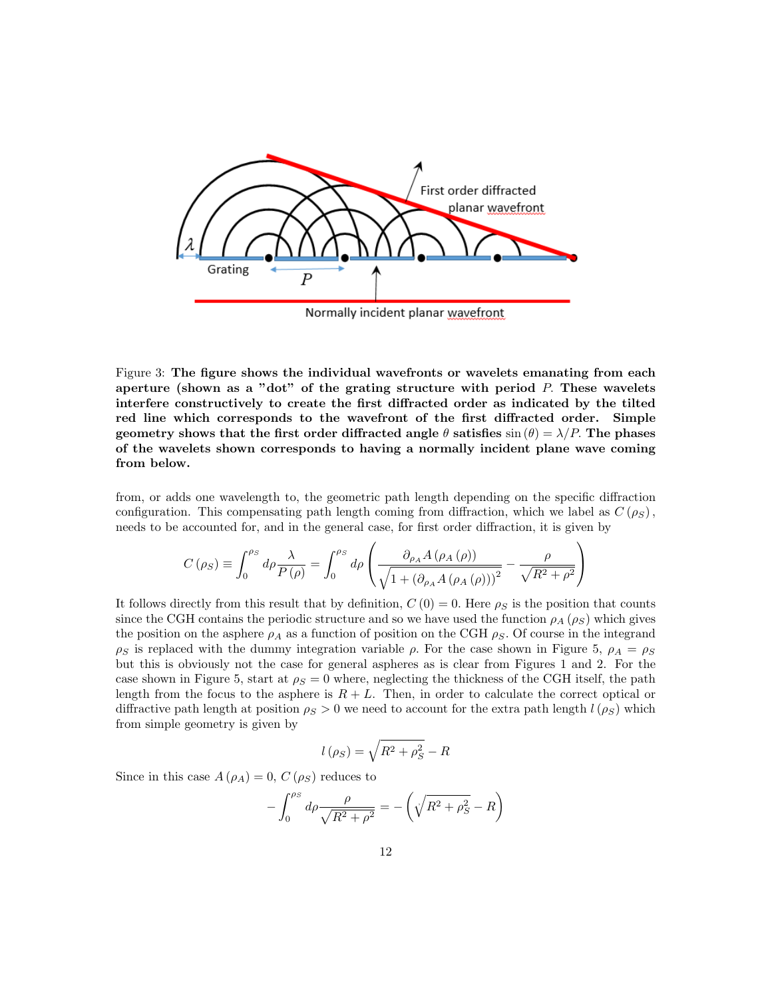

Figure 3: The figure shows the individual wavefronts or wavelets emanating from each aperture (shown as a "dot" of the grating structure with period  $P$ . These wavelets interfere constructively to create the first diffracted order as indicated by the tilted red line which corresponds to the wavefront of the first diffracted order. Simple geometry shows that the first order diffracted angle  $\theta$  satisfies  $\sin(\theta) = \lambda/P$ . The phases of the wavelets shown corresponds to having a normally incident plane wave coming from below.

from, or adds one wavelength to, the geometric path length depending on the specific diffraction configuration. This compensating path length coming from diffraction, which we label as  $C(\rho_S)$ , needs to be accounted for, and in the general case, for first order diffraction, it is given by

$$
C(\rho_S) \equiv \int_0^{\rho_S} d\rho \frac{\lambda}{P(\rho)} = \int_0^{\rho_S} d\rho \left( \frac{\partial_{\rho_A} A(\rho_A(\rho))}{\sqrt{1 + (\partial_{\rho_A} A(\rho_A(\rho)))^2}} - \frac{\rho}{\sqrt{R^2 + \rho^2}} \right)
$$

It follows directly from this result that by definition,  $C(0) = 0$ . Here  $\rho_S$  is the position that counts since the CGH contains the periodic structure and so we have used the function  $\rho_A(\rho_S)$  which gives the position on the asphere  $\rho_A$  as a function of position on the CGH  $\rho_S$ . Of course in the integrand  $\rho_S$  is replaced with the dummy integration variable  $\rho$ . For the case shown in Figure 5,  $\rho_A = \rho_S$ but this is obviously not the case for general aspheres as is clear from Figures 1 and 2. For the case shown in Figure 5, start at  $\rho_S = 0$  where, neglecting the thickness of the CGH itself, the path length from the focus to the asphere is  $R + L$ . Then, in order to calculate the correct optical or diffractive path length at position  $\rho_S > 0$  we need to account for the extra path length  $l(\rho_S)$  which from simple geometry is given by

$$
l\left(\rho_{S}\right) = \sqrt{R^2 + \rho_{S}^2} - R
$$

Since in this case  $A(\rho_A) = 0$ ,  $C(\rho_S)$  reduces to

$$
-\int_0^{\rho_S} d\rho \frac{\rho}{\sqrt{R^2 + \rho^2}} = -\left(\sqrt{R^2 + \rho_S^2} - R\right)
$$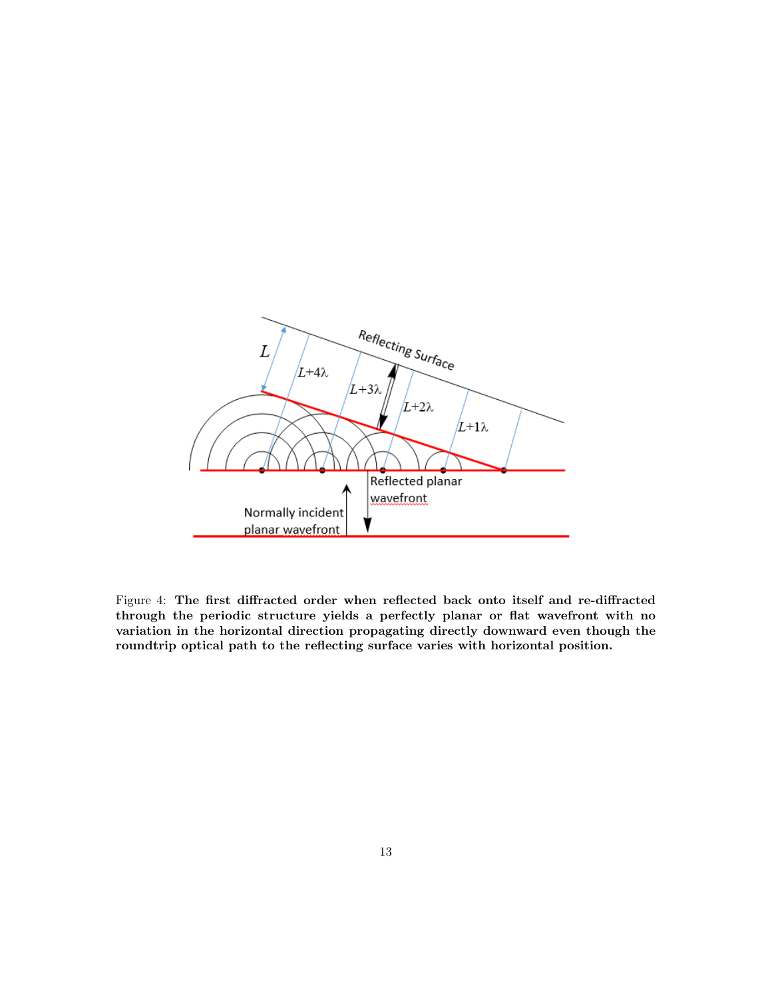

Figure 4: The first diffracted order when reflected back onto itself and re-diffracted through the periodic structure yields a perfectly planar or flat wavefront with no variation in the horizontal direction propagating directly downward even though the roundtrip optical path to the reflecting surface varies with horizontal position.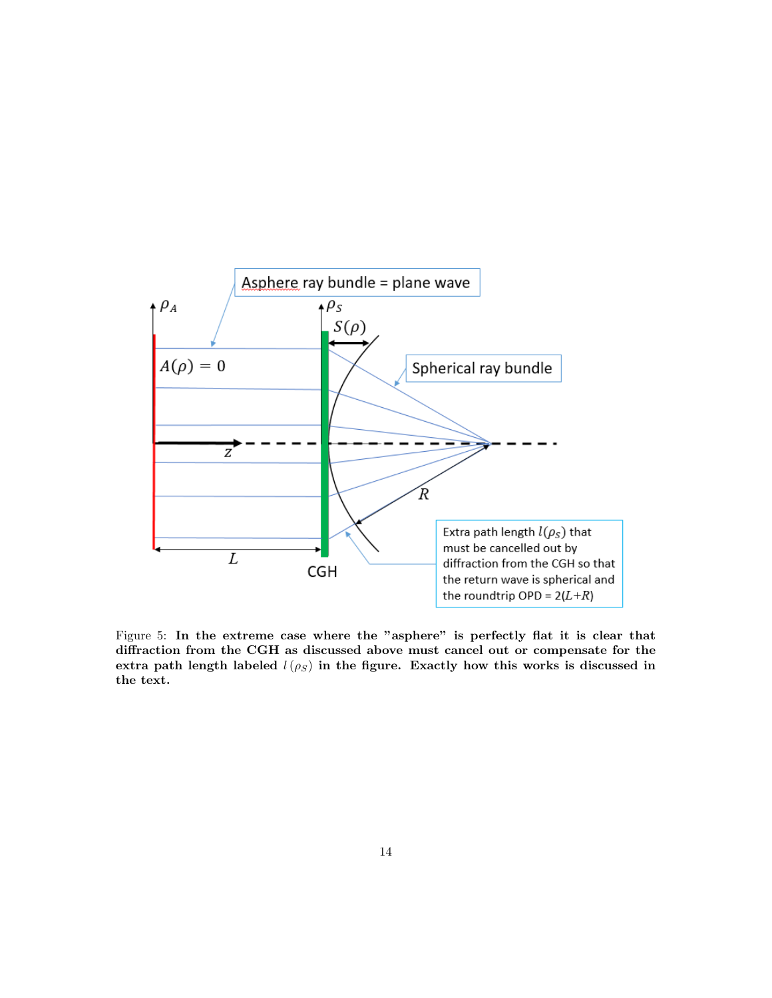

Figure 5: In the extreme case where the "asphere" is perfectly flat it is clear that diffraction from the CGH as discussed above must cancel out or compensate for the extra path length labeled  $l(\rho_S)$  in the figure. Exactly how this works is discussed in the text.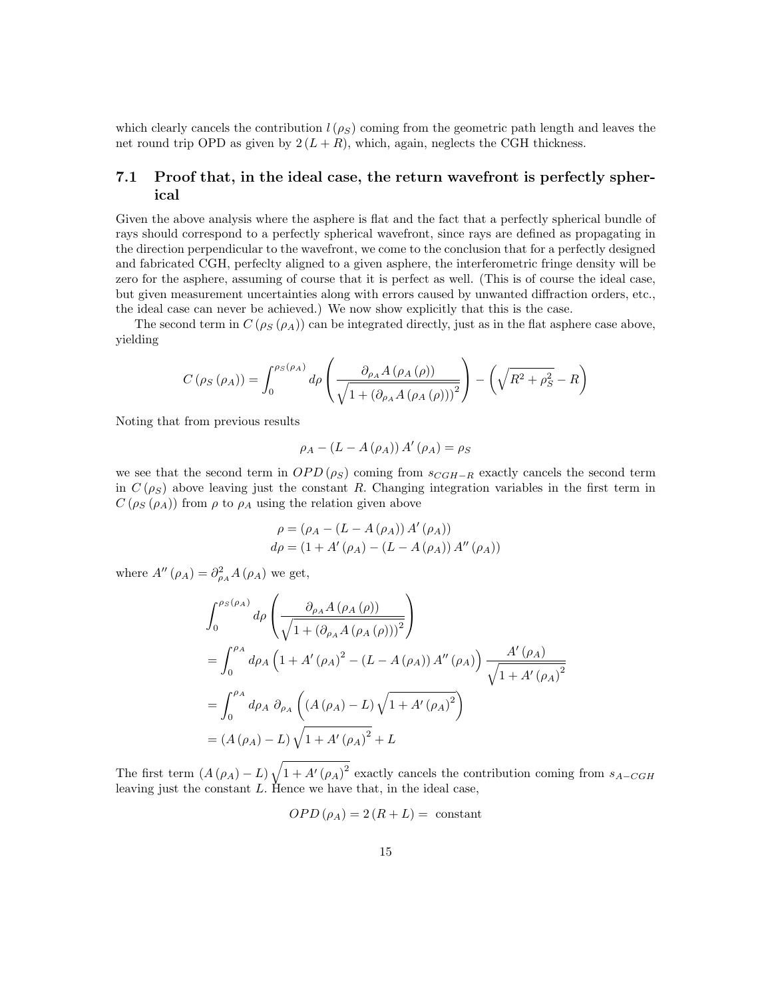which clearly cancels the contribution  $l(\rho_S)$  coming from the geometric path length and leaves the net round trip OPD as given by  $2(L + R)$ , which, again, neglects the CGH thickness.

#### 7.1 Proof that, in the ideal case, the return wavefront is perfectly spherical

Given the above analysis where the asphere is flat and the fact that a perfectly spherical bundle of rays should correspond to a perfectly spherical wavefront, since rays are defined as propagating in the direction perpendicular to the wavefront, we come to the conclusion that for a perfectly designed and fabricated CGH, perfeclty aligned to a given asphere, the interferometric fringe density will be zero for the asphere, assuming of course that it is perfect as well. (This is of course the ideal case, but given measurement uncertainties along with errors caused by unwanted diffraction orders, etc., the ideal case can never be achieved.) We now show explicitly that this is the case.

The second term in  $C(\rho_S(\rho_A))$  can be integrated directly, just as in the flat asphere case above, yielding

$$
C\left(\rho_S\left(\rho_A\right)\right) = \int_0^{\rho_S\left(\rho_A\right)} d\rho \left(\frac{\partial_{\rho_A} A\left(\rho_A\left(\rho\right)\right)}{\sqrt{1 + \left(\partial_{\rho_A} A\left(\rho_A\left(\rho\right)\right)\right)^2}}\right) - \left(\sqrt{R^2 + \rho_S^2} - R\right)
$$

Noting that from previous results

$$
\rho_A - (L - A(\rho_A)) A'(\rho_A) = \rho_S
$$

we see that the second term in  $OPD(\rho_S)$  coming from  $s_{CGH-R}$  exactly cancels the second term in  $C(\rho_S)$  above leaving just the constant R. Changing integration variables in the first term in  $C(\rho_S(\rho_A))$  from  $\rho$  to  $\rho_A$  using the relation given above

$$
\rho = (\rho_A - (L - A(\rho_A)) A'(\rho_A)) \nd\rho = (1 + A'(\rho_A) - (L - A(\rho_A)) A''(\rho_A))
$$

where  $A''(\rho_A) = \partial^2_{\rho_A} A(\rho_A)$  we get,

$$
\int_{0}^{\rho_{S}(\rho_{A})} d\rho \left( \frac{\partial_{\rho_{A}} A(\rho_{A}(\rho))}{\sqrt{1 + (\partial_{\rho_{A}} A(\rho_{A}(\rho)))^{2}}} \right)
$$
  
= 
$$
\int_{0}^{\rho_{A}} d\rho_{A} \left( 1 + A'(\rho_{A})^{2} - (L - A(\rho_{A})) A''(\rho_{A}) \right) \frac{A'(\rho_{A})}{\sqrt{1 + A'(\rho_{A})^{2}}}
$$
  
= 
$$
\int_{0}^{\rho_{A}} d\rho_{A} \partial_{\rho_{A}} \left( (A(\rho_{A}) - L) \sqrt{1 + A'(\rho_{A})^{2}} \right)
$$
  
= 
$$
(A(\rho_{A}) - L) \sqrt{1 + A'(\rho_{A})^{2}} + L
$$

The first term  $(A(\rho_A) - L)\sqrt{1 + A'(\rho_A)^2}$  exactly cancels the contribution coming from  $s_{A-CGH}$ leaving just the constant  $L$ . Hence we have that, in the ideal case,

$$
OPD(\rho_A) = 2(R + L) = \text{ constant}
$$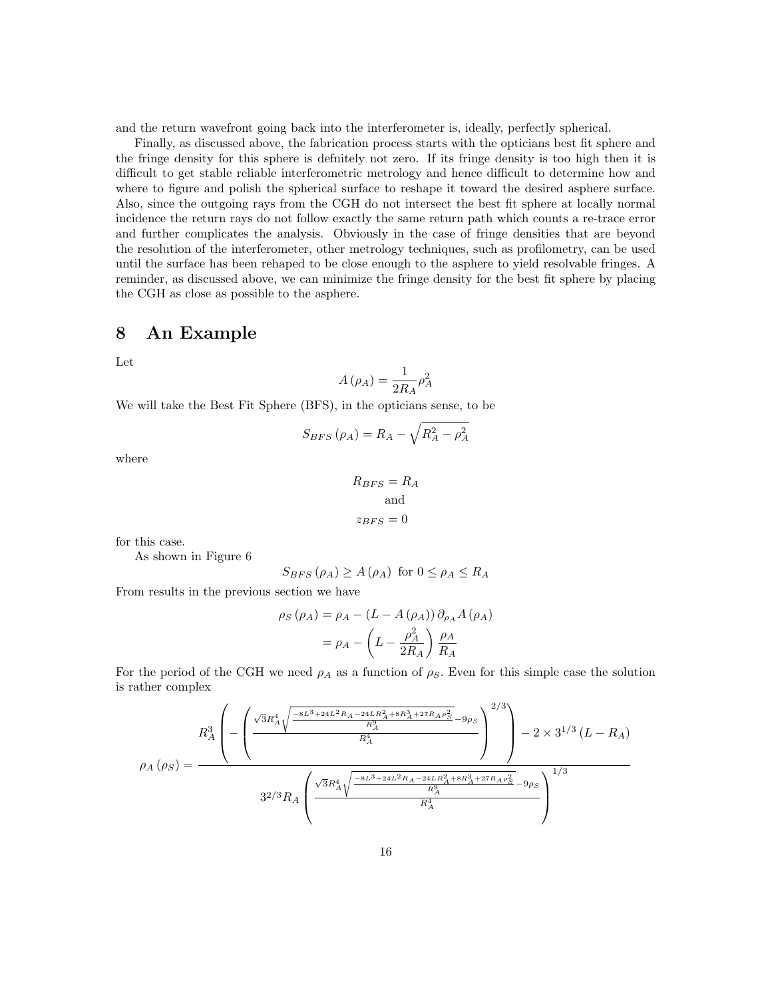and the return wavefront going back into the interferometer is, ideally, perfectly spherical.

Finally, as discussed above, the fabrication process starts with the opticians best fit sphere and the fringe density for this sphere is defnitely not zero. If its fringe density is too high then it is difficult to get stable reliable interferometric metrology and hence difficult to determine how and where to figure and polish the spherical surface to reshape it toward the desired asphere surface. Also, since the outgoing rays from the CGH do not intersect the best fit sphere at locally normal incidence the return rays do not follow exactly the same return path which counts a re-trace error and further complicates the analysis. Obviously in the case of fringe densities that are beyond the resolution of the interferometer, other metrology techniques, such as profilometry, can be used until the surface has been rehaped to be close enough to the asphere to yield resolvable fringes. A reminder, as discussed above, we can minimize the fringe density for the best fit sphere by placing the CGH as close as possible to the asphere.

## 8 An Example

Let

$$
A\left(\rho_{A}\right)=\frac{1}{2R_{A}}\rho_{A}^{2}
$$

We will take the Best Fit Sphere (BFS), in the opticians sense, to be

$$
S_{BFS}\left(\rho_{A}\right)=R_{A}-\sqrt{R_{A}^{2}-\rho_{A}^{2}}
$$

where

$$
R_{BFS} = R_A
$$
  
and  

$$
z_{BFS} = 0
$$

for this case.

As shown in Figure 6

$$
S_{BFS}(\rho_A) \ge A(\rho_A) \text{ for } 0 \le \rho_A \le R_A
$$

From results in the previous section we have

$$
\rho_S(\rho_A) = \rho_A - (L - A(\rho_A)) \partial_{\rho_A} A(\rho_A)
$$

$$
= \rho_A - \left(L - \frac{\rho_A^2}{2R_A}\right) \frac{\rho_A}{R_A}
$$

For the period of the CGH we need  $\rho_A$  as a function of  $\rho_S$ . Even for this simple case the solution is rather complex

$$
\rho_{A}\left(\rho_{S}\right) = \frac{R_{A}^{3}\left(-\left(\frac{\sqrt{3}R_{A}^{4}\sqrt{\frac{-8L^{3}+24L^{2}R_{A}-24LR_{A}^{2}+8R_{A}^{3}+27R_{A}\rho_{S}^{2}}{R_{A}^{3}}}-9\rho_{S}}{R_{A}^{4}}\right)^{2/3}\right)-2\times3^{1/3}\left(L-R_{A}\right)}{3^{2/3}R_{A}\left(\frac{\sqrt{3}R_{A}^{4}\sqrt{\frac{-8L^{3}+24L^{2}R_{A}-24LR_{A}^{2}+8R_{A}^{3}+27R_{A}\rho_{S}^{2}}{R_{A}^{3}}}-9\rho_{S}}{R_{A}^{4}}\right)^{1/3}}
$$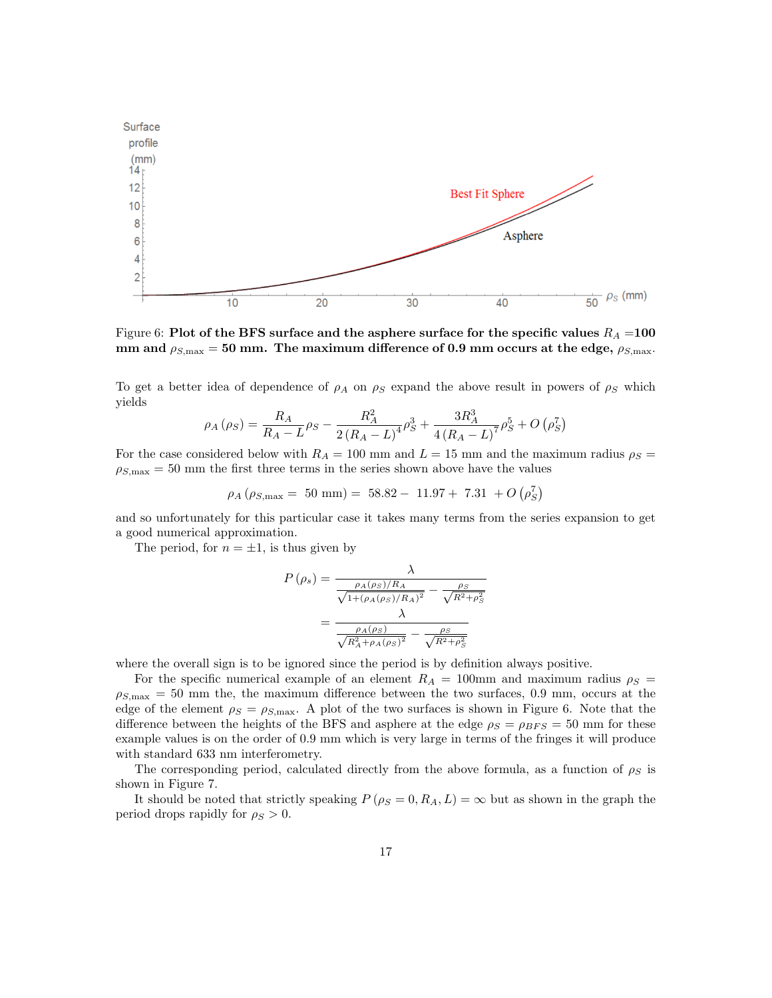

Figure 6: Plot of the BFS surface and the asphere surface for the specific values  $R_A = 100$ mm and  $\rho_{S,\text{max}} = 50$  mm. The maximum difference of 0.9 mm occurs at the edge,  $\rho_{S,\text{max}}$ .

To get a better idea of dependence of  $\rho_A$  on  $\rho_S$  expand the above result in powers of  $\rho_S$  which yields

$$
\rho_A(\rho_S) = \frac{R_A}{R_A - L} \rho_S - \frac{R_A^2}{2(R_A - L)^4} \rho_S^3 + \frac{3R_A^3}{4(R_A - L)^7} \rho_S^5 + O\left(\rho_S^7\right)
$$

For the case considered below with  $R_A = 100$  mm and  $L = 15$  mm and the maximum radius  $\rho_S =$  $\rho_{S,\text{max}} = 50$  mm the first three terms in the series shown above have the values

$$
\rho_A \left( \rho_{S,\text{max}} = 50 \text{ mm} \right) = 58.82 - 11.97 + 7.31 + O \left( \rho_S^7 \right)
$$

and so unfortunately for this particular case it takes many terms from the series expansion to get a good numerical approximation.

The period, for  $n = \pm 1$ , is thus given by

$$
P(\rho_s) = \frac{\lambda}{\frac{\rho_A(\rho_S)/R_A}{\sqrt{1+(\rho_A(\rho_S)/R_A)^2}} - \frac{\rho_S}{\sqrt{R^2+\rho_S^2}}}
$$

$$
= \frac{\lambda}{\frac{\rho_A(\rho_S)}{\sqrt{R_A^2 + \rho_A(\rho_S)^2}} - \frac{\rho_S}{\sqrt{R^2+\rho_S^2}}}
$$

where the overall sign is to be ignored since the period is by definition always positive.

For the specific numerical example of an element  $R_A = 100$ mm and maximum radius  $\rho_S =$  $\rho_{S,\text{max}} = 50$  mm the, the maximum difference between the two surfaces, 0.9 mm, occurs at the edge of the element  $\rho_S = \rho_{S,\text{max}}$ . A plot of the two surfaces is shown in Figure 6. Note that the difference between the heights of the BFS and asphere at the edge  $\rho_S = \rho_{BFS} = 50$  mm for these example values is on the order of 0.9 mm which is very large in terms of the fringes it will produce with standard 633 nm interferometry.

The corresponding period, calculated directly from the above formula, as a function of  $\rho_S$  is shown in Figure 7.

It should be noted that strictly speaking  $P(\rho_S = 0, R_A, L) = \infty$  but as shown in the graph the period drops rapidly for  $\rho_S > 0$ .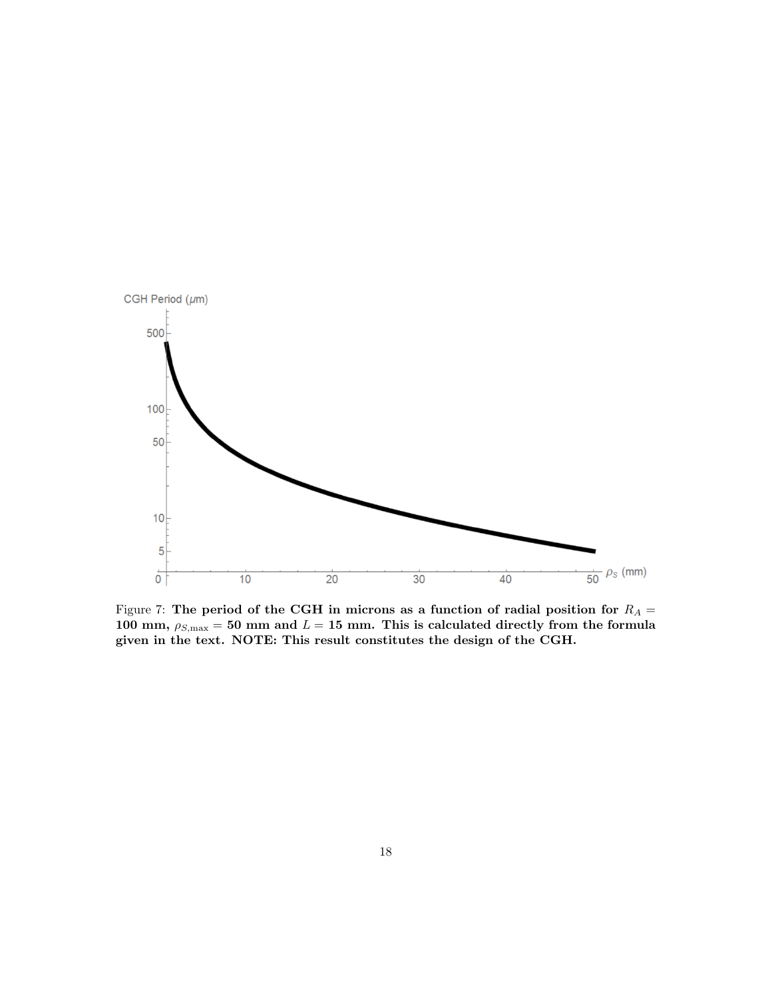

Figure 7: The period of the CGH in microns as a function of radial position for  $R_A =$ 100 mm,  $\rho_{S,\text{max}} = 50$  mm and  $L = 15$  mm. This is calculated directly from the formula given in the text. NOTE: This result constitutes the design of the CGH.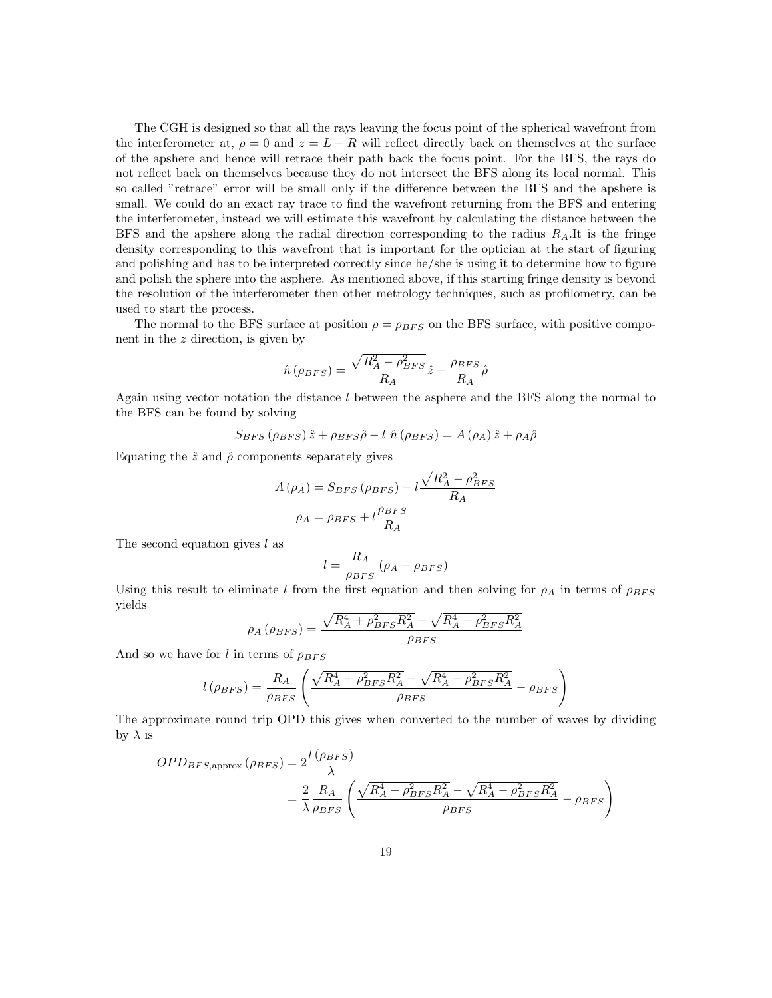The CGH is designed so that all the rays leaving the focus point of the spherical wavefront from the interferometer at,  $\rho = 0$  and  $z = L + R$  will reflect directly back on themselves at the surface of the apshere and hence will retrace their path back the focus point. For the BFS, the rays do not reflect back on themselves because they do not intersect the BFS along its local normal. This so called "retrace" error will be small only if the difference between the BFS and the apshere is small. We could do an exact ray trace to find the wavefront returning from the BFS and entering the interferometer, instead we will estimate this wavefront by calculating the distance between the BFS and the apshere along the radial direction corresponding to the radius  $R_A$ .It is the fringe density corresponding to this wavefront that is important for the optician at the start of figuring and polishing and has to be interpreted correctly since he/she is using it to determine how to figure and polish the sphere into the asphere. As mentioned above, if this starting fringe density is beyond the resolution of the interferometer then other metrology techniques, such as profilometry, can be used to start the process.

The normal to the BFS surface at position  $\rho = \rho_{BFS}$  on the BFS surface, with positive component in the  $z$  direction, is given by

$$
\hat{n} \left( \rho_{BFS} \right) = \frac{\sqrt{R_A^2 - \rho_{BFS}^2}}{R_A} \hat{z} - \frac{\rho_{BFS}}{R_A} \hat{\rho}
$$

Again using vector notation the distance  $l$  between the asphere and the BFS along the normal to the BFS can be found by solving

$$
S_{BFS} (\rho_{BFS}) \hat{z} + \rho_{BFS} \hat{\rho} - l \hat{n} (\rho_{BFS}) = A (\rho_A) \hat{z} + \rho_A \hat{\rho}
$$

Equating the  $\hat{z}$  and  $\hat{\rho}$  components separately gives

$$
A(\rho_A) = S_{BFS} (\rho_{BFS}) - l \frac{\sqrt{R_A^2 - \rho_{BFS}^2}}{R_A}
$$

$$
\rho_A = \rho_{BFS} + l \frac{\rho_{BFS}}{R_A}
$$

The second equation gives  $l$  as

$$
l = \frac{R_A}{\rho_{BFS}} (\rho_A - \rho_{BFS})
$$

Using this result to eliminate l from the first equation and then solving for  $\rho_A$  in terms of  $\rho_{BFS}$ yields

$$
\rho_A (\rho_{BFS}) = \frac{\sqrt{R_A^4 + \rho_{BFS}^2 R_A^2} - \sqrt{R_A^4 - \rho_{BFS}^2 R_A^2}}{\rho_{BFS}}
$$

And so we have for l in terms of  $\rho_{BFS}$ 

$$
l\left(\rho_{BFS}\right)=\frac{R_A}{\rho_{BFS}}\left(\frac{\sqrt{R_A^4+\rho_{BFS}^2R_A^2}-\sqrt{R_A^4-\rho_{BFS}^2R_A^2}}{\rho_{BFS}}-\rho_{BFS}\right)
$$

The approximate round trip OPD this gives when converted to the number of waves by dividing by  $\lambda$  is

$$
OPD_{BFS,approx} (\rho_{BFS}) = 2 \frac{l(\rho_{BFS})}{\lambda}
$$
  
=  $\frac{2}{\lambda} \frac{R_A}{\rho_{BFS}} \left( \frac{\sqrt{R_A^4 + \rho_{BFS}^2 R_A^2} - \sqrt{R_A^4 - \rho_{BFS}^2 R_A^2}}{\rho_{BFS}} - \rho_{BFS} \right)$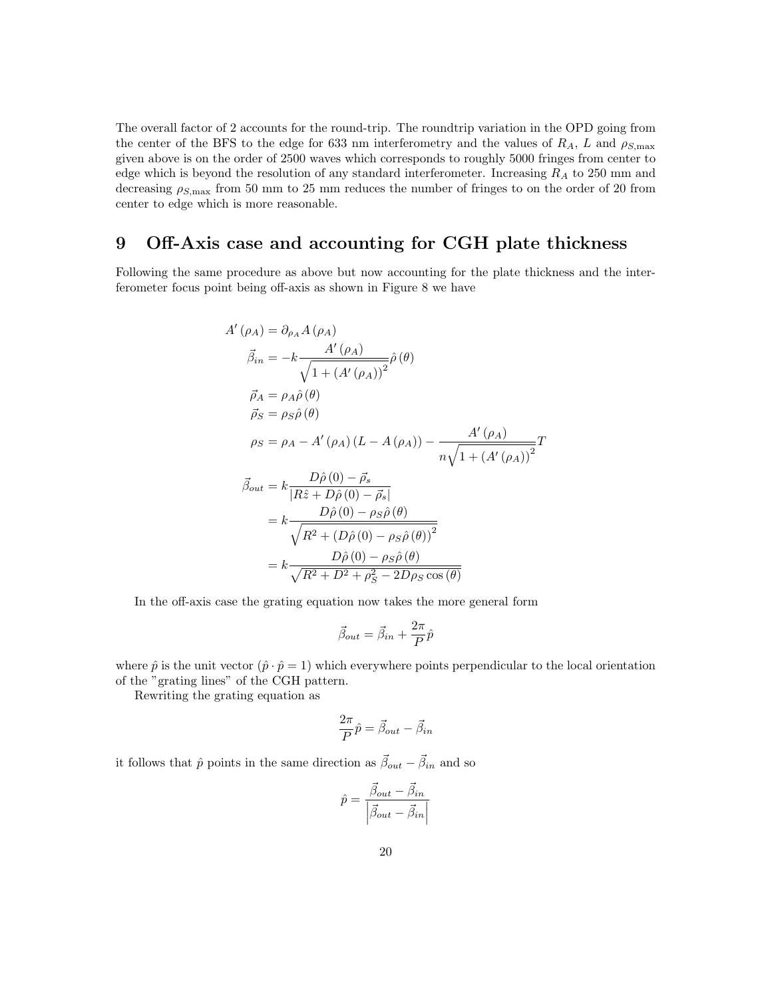The overall factor of 2 accounts for the round-trip. The roundtrip variation in the OPD going from the center of the BFS to the edge for 633 nm interferometry and the values of  $R_A$ , L and  $\rho_{S,\text{max}}$ given above is on the order of 2500 waves which corresponds to roughly 5000 fringes from center to edge which is beyond the resolution of any standard interferometer. Increasing  $R_A$  to 250 mm and decreasing  $\rho_{S,\text{max}}$  from 50 mm to 25 mm reduces the number of fringes to on the order of 20 from center to edge which is more reasonable.

# 9 Off-Axis case and accounting for CGH plate thickness

Following the same procedure as above but now accounting for the plate thickness and the interferometer focus point being off-axis as shown in Figure 8 we have

$$
A'(\rho_A) = \partial_{\rho_A} A(\rho_A)
$$
  
\n
$$
\vec{\beta}_{in} = -k \frac{A'(\rho_A)}{\sqrt{1 + (A'(\rho_A))^2}} \hat{\rho}(\theta)
$$
  
\n
$$
\vec{\rho}_A = \rho_A \hat{\rho}(\theta)
$$
  
\n
$$
\vec{\rho}_S = \rho_S \hat{\rho}(\theta)
$$
  
\n
$$
\rho_S = \rho_A - A'(\rho_A) (L - A(\rho_A)) - \frac{A'(\rho_A)}{n\sqrt{1 + (A'(\rho_A))^2}} T
$$
  
\n
$$
\vec{\beta}_{out} = k \frac{D\hat{\rho}(0) - \vec{\rho}_s}{|R\hat{z} + D\hat{\rho}(0) - \vec{\rho}_s|}
$$
  
\n
$$
= k \frac{D\hat{\rho}(0) - \rho_S \hat{\rho}(\theta)}{\sqrt{R^2 + (D\hat{\rho}(0) - \rho_S \hat{\rho}(\theta))^2}}
$$
  
\n
$$
= k \frac{D\hat{\rho}(0) - \rho_S \hat{\rho}(\theta)}{\sqrt{R^2 + D^2 + \rho_S^2 - 2D\rho_S \cos(\theta)}}
$$

In the off-axis case the grating equation now takes the more general form

$$
\vec{\beta}_{out} = \vec{\beta}_{in} + \frac{2\pi}{P}\hat{p}
$$

where  $\hat{p}$  is the unit vector  $(\hat{p} \cdot \hat{p} = 1)$  which everywhere points perpendicular to the local orientation of the "grating lines" of the CGH pattern.

Rewriting the grating equation as

$$
\frac{2\pi}{P}\hat{p} = \vec{\beta}_{out} - \vec{\beta}_{in}
$$

it follows that  $\hat{p}$  points in the same direction as  $\vec{\beta}_{out} - \vec{\beta}_{in}$  and so

$$
\hat{p} = \frac{\vec{\beta}_{out} - \vec{\beta}_{in}}{\left| \vec{\beta}_{out} - \vec{\beta}_{in} \right|}
$$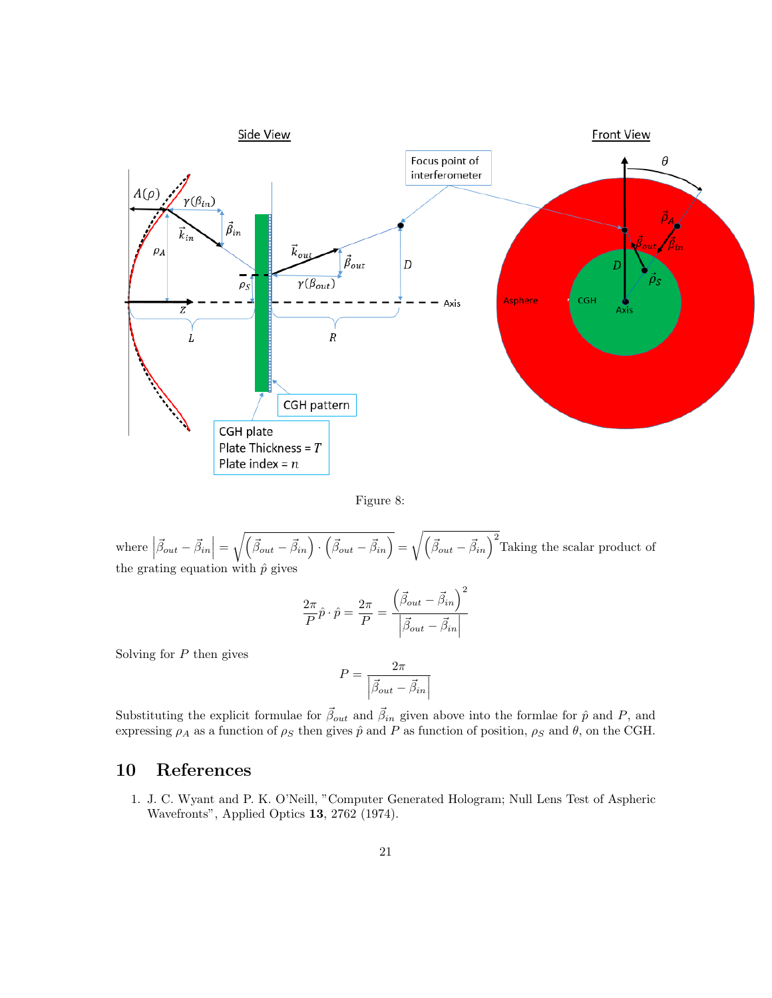

Figure 8:

where  $\left|\vec{\beta}_{out}-\vec{\beta}_{in}\right| = \sqrt{\left(\vec{\beta}_{out}-\vec{\beta}_{in}\right)\cdot\left(\vec{\beta}_{out}-\vec{\beta}_{in}\right)} = \sqrt{\left(\vec{\beta}_{out}-\vec{\beta}_{in}\right)^2}$  Taking the scalar product of the grating equation with  $\hat{p}$  gives

$$
\frac{2\pi}{P}\hat{p}\cdot\hat{p} = \frac{2\pi}{P} = \frac{\left(\vec{\beta}_{out} - \vec{\beta}_{in}\right)^2}{\left|\vec{\beta}_{out} - \vec{\beta}_{in}\right|}
$$

Solving for  $P$  then gives

$$
P = \frac{2\pi}{\left|\vec{\beta}_{out} - \vec{\beta}_{in}\right|}
$$

Substituting the explicit formulae for  $\vec{\beta}_{out}$  and  $\vec{\beta}_{in}$  given above into the formlae for  $\hat{p}$  and P, and expressing  $\rho_A$  as a function of  $\rho_S$  then gives  $\hat{p}$  and P as function of position,  $\rho_S$  and  $\hat{\theta}$ , on the CGH.

# 10 References

1. J. C. Wyant and P. K. O'Neill, "Computer Generated Hologram; Null Lens Test of Aspheric Wavefronts", Applied Optics 13, 2762 (1974).